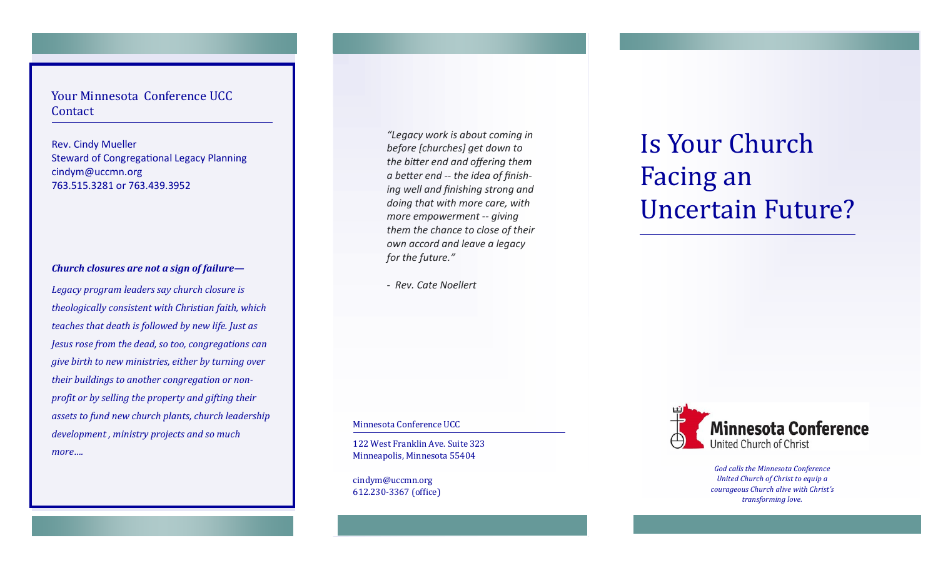Your Minnesota Conference UCC Contact

Rev. Cindy Mueller Steward of Congregational Legacy Planning cindym@uccmn.org 763.515.3281 or 763.439.3952

# *Church closures are not a sign of failure—*

*Legacy program leaders say church closure is theologically consistent with Christian faith, which teaches that death is followed by new life. Just as Jesus rose from the dead, so too, congregations can give birth to new ministries, either by turning over their buildings to another congregation or nonprofit or by selling the property and gifting their assets to fund new church plants, church leadership development , ministry projects and so much more….*

*"Legacy work is about coming in before [churches] get down to the bitter end and offering them a better end -- the idea of finishing well and finishing strong and doing that with more care, with more empowerment -- giving them the chance to close of their own accord and leave a legacy for the future."* 

*- Rev. Cate Noellert* 

Minnesota Conference UCC

122 West Franklin Ave. Suite 323 Minneapolis, Minnesota 55404

cindym@uccmn.org 612.230-3367 (office)

# Is Your Church Facing an Uncertain Future?



*God calls the Minnesota Conference United Church of Christ to equip a courageous Church alive with Christ's transforming love.*